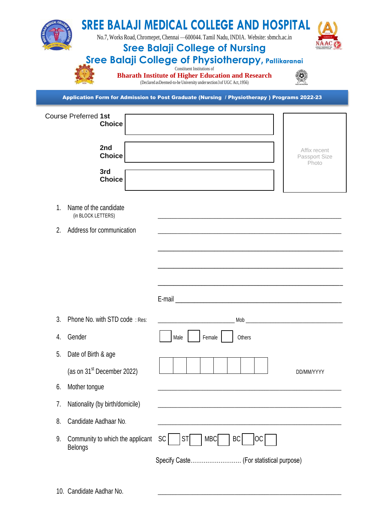|    |                                                    | <b>SREE BALAJI MEDICAL COLLEGE AND HOSPITAL</b><br>No.7, Works Road, Chromepet, Chennai -600044. Tamil Nadu, INDIA. Website: sbmch.ac.in<br><b>Sree Balaji College of Nursing</b><br><b>Sree Balaji College of Physiotherapy, Pallikaranai</b><br>Constituent Institutions of<br><b>Bharath Institute of Higher Education and Research</b><br>(Declared as Deemed-to-be University under section 3 of UGC Act, 1956) |                                        |
|----|----------------------------------------------------|----------------------------------------------------------------------------------------------------------------------------------------------------------------------------------------------------------------------------------------------------------------------------------------------------------------------------------------------------------------------------------------------------------------------|----------------------------------------|
|    |                                                    | Application Form for Admission to Post Graduate (Nursing / Physiotherapy) Programs 2022-23                                                                                                                                                                                                                                                                                                                           |                                        |
|    | <b>Course Preferred 1st</b><br><b>Choice</b>       |                                                                                                                                                                                                                                                                                                                                                                                                                      |                                        |
|    | 2nd<br><b>Choice</b><br>3rd                        |                                                                                                                                                                                                                                                                                                                                                                                                                      | Affix recent<br>Passport Size<br>Photo |
|    | <b>Choice</b>                                      |                                                                                                                                                                                                                                                                                                                                                                                                                      |                                        |
| 1. | Name of the candidate<br>(in BLOCK LETTERS)        |                                                                                                                                                                                                                                                                                                                                                                                                                      |                                        |
| 2. | Address for communication                          |                                                                                                                                                                                                                                                                                                                                                                                                                      |                                        |
|    |                                                    | E-mail                                                                                                                                                                                                                                                                                                                                                                                                               |                                        |
| 3. | Phone No. with STD code: Res:                      |                                                                                                                                                                                                                                                                                                                                                                                                                      |                                        |
| 4. | Gender                                             | Female<br>Male<br>Others                                                                                                                                                                                                                                                                                                                                                                                             |                                        |
| 5. | Date of Birth & age                                |                                                                                                                                                                                                                                                                                                                                                                                                                      |                                        |
|    | (as on 31 <sup>st</sup> December 2022)             |                                                                                                                                                                                                                                                                                                                                                                                                                      | DD/MM/YYYY                             |
| 6. | Mother tongue                                      |                                                                                                                                                                                                                                                                                                                                                                                                                      |                                        |
| 7. | Nationality (by birth/domicile)                    |                                                                                                                                                                                                                                                                                                                                                                                                                      |                                        |
| 8. | Candidate Aadhaar No.                              |                                                                                                                                                                                                                                                                                                                                                                                                                      |                                        |
| 9. | Community to which the applicant<br><b>Belongs</b> | ST<br><b>SC</b><br><b>MBC</b><br><b>BC</b><br>ОC<br>Specify Caste (For statistical purpose)                                                                                                                                                                                                                                                                                                                          |                                        |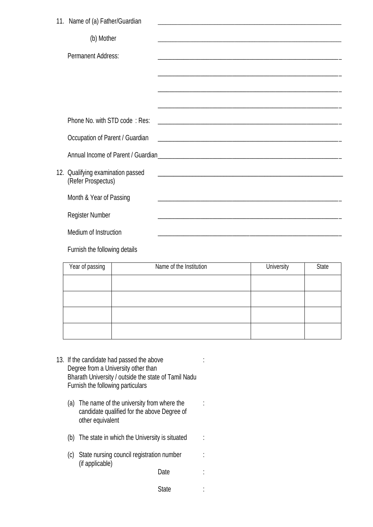| 11. Name of (a) Father/Guardian                         |  |
|---------------------------------------------------------|--|
| (b) Mother                                              |  |
| <b>Permanent Address:</b>                               |  |
|                                                         |  |
|                                                         |  |
|                                                         |  |
| Phone No. with STD code: Res:                           |  |
| Occupation of Parent / Guardian                         |  |
|                                                         |  |
| 12. Qualifying examination passed<br>(Refer Prospectus) |  |
| Month & Year of Passing                                 |  |
| <b>Register Number</b>                                  |  |
| Medium of Instruction                                   |  |
| Furnish the following details                           |  |

| Year of passing | Name of the Institution | University | <b>State</b> |
|-----------------|-------------------------|------------|--------------|
|                 |                         |            |              |
|                 |                         |            |              |
|                 |                         |            |              |
|                 |                         |            |              |

- 13. If the candidate had passed the above : Degree from a University other than Bharath University / outside the state of Tamil Nadu Furnish the following particulars
	- (a) The name of the university from where the  $\cdot$ candidate qualified for the above Degree of other equivalent
	- (b) The state in which the University is situated :
	- (c) State nursing council registration number : (if applicable)
		- Date :
		- State :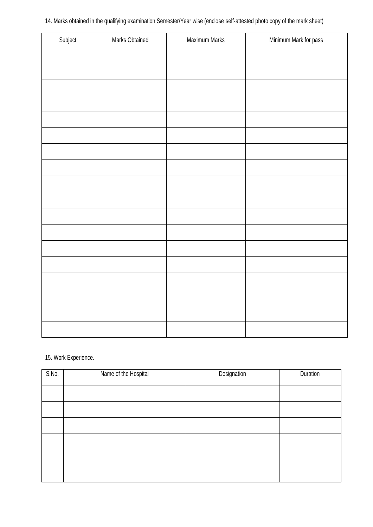| 14. Marks obtained in the qualifying examination Semester/Year wise (enclose self-attested photo copy of the mark sheet) |  |
|--------------------------------------------------------------------------------------------------------------------------|--|
|--------------------------------------------------------------------------------------------------------------------------|--|

| Subject | Marks Obtained | Maximum Marks | Minimum Mark for pass |
|---------|----------------|---------------|-----------------------|
|         |                |               |                       |
|         |                |               |                       |
|         |                |               |                       |
|         |                |               |                       |
|         |                |               |                       |
|         |                |               |                       |
|         |                |               |                       |
|         |                |               |                       |
|         |                |               |                       |
|         |                |               |                       |
|         |                |               |                       |
|         |                |               |                       |
|         |                |               |                       |
|         |                |               |                       |
|         |                |               |                       |
|         |                |               |                       |
|         |                |               |                       |
|         |                |               |                       |
|         |                |               |                       |
|         |                |               |                       |
|         |                |               |                       |
|         |                |               |                       |

### 15. Work Experience.

| S.No. | Name of the Hospital | Designation | Duration |
|-------|----------------------|-------------|----------|
|       |                      |             |          |
|       |                      |             |          |
|       |                      |             |          |
|       |                      |             |          |
|       |                      |             |          |
|       |                      |             |          |